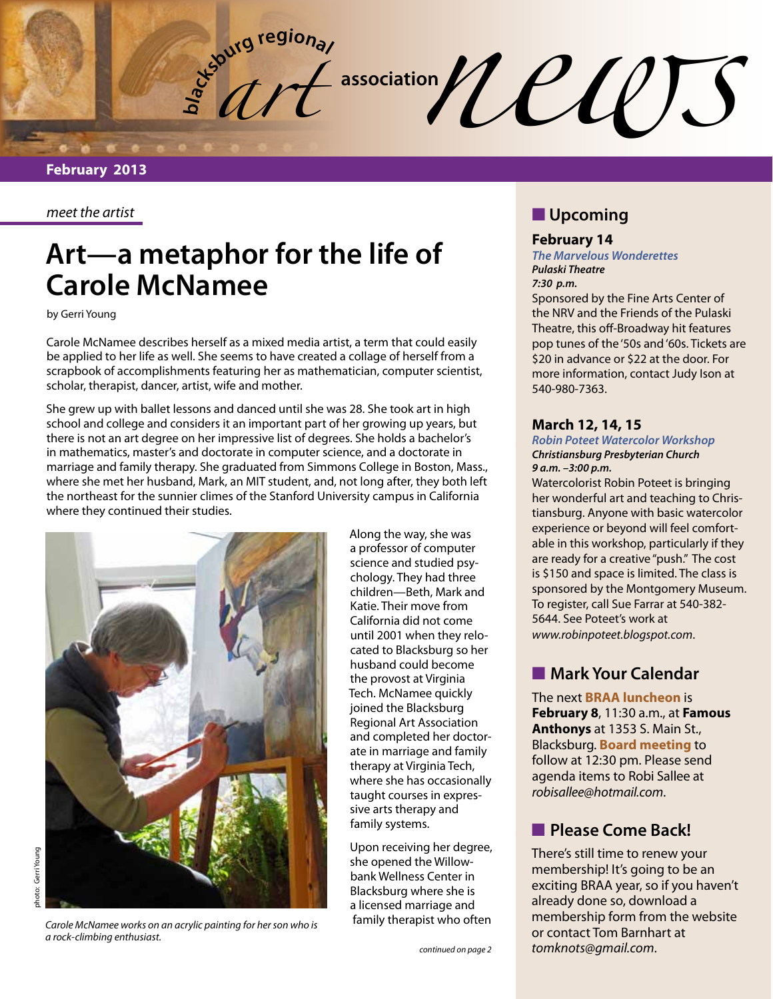**burg regional**  $\frac{1}{2}$  association  $\mathcal{U}\ell\ell\ell$ 

#### *meet the artist*

# **Art—a metaphor for the life of Carole McNamee**

by Gerri Young

Carole McNamee describes herself as a mixed media artist, a term that could easily be applied to her life as well. She seems to have created a collage of herself from a scrapbook of accomplishments featuring her as mathematician, computer scientist, scholar, therapist, dancer, artist, wife and mother.

She grew up with ballet lessons and danced until she was 28. She took art in high school and college and considers it an important part of her growing up years, but there is not an art degree on her impressive list of degrees. She holds a bachelor's in mathematics, master's and doctorate in computer science, and a doctorate in marriage and family therapy. She graduated from Simmons College in Boston, Mass., where she met her husband, Mark, an MIT student, and, not long after, they both left the northeast for the sunnier climes of the Stanford University campus in California where they continued their studies.



*Carole McNamee works on an acrylic painting for her son who is a rock-climbing enthusiast.* 

Along the way, she was a professor of computer science and studied psychology. They had three children—Beth, Mark and Katie. Their move from California did not come until 2001 when they relocated to Blacksburg so her husband could become the provost at Virginia Tech. McNamee quickly joined the Blacksburg Regional Art Association and completed her doctorate in marriage and family therapy at Virginia Tech, where she has occasionally taught courses in expressive arts therapy and family systems.

Upon receiving her degree, she opened the Willowbank Wellness Center in Blacksburg where she is a licensed marriage and family therapist who often

#### *continued on page 2*

## **N** Upcoming

#### **February 14**

*The Marvelous Wonderettes Pulaski Theatre 7:30 p.m.*

Sponsored by the Fine Arts Center of the NRV and the Friends of the Pulaski Theatre, this off-Broadway hit features pop tunes of the '50s and '60s. Tickets are \$20 in advance or \$22 at the door. For more information, contact Judy Ison at 540-980-7363.

### **March 12, 14, 15**

#### *Robin Poteet Watercolor Workshop Christiansburg Presbyterian Church 9 a.m. –3:00 p.m.*

Watercolorist Robin Poteet is bringing her wonderful art and teaching to Christiansburg. Anyone with basic watercolor experience or beyond will feel comfortable in this workshop, particularly if they are ready for a creative "push." The cost is \$150 and space is limited. The class is sponsored by the Montgomery Museum. To register, call Sue Farrar at 540-382- 5644. See Poteet's work at *www.robinpoteet.blogspot.com*.

## **Mark Your Calendar**

The next **BRAA luncheon** is **February 8**, 11:30 a.m., at **Famous Anthonys** at 1353 S. Main St., Blacksburg. **Board meeting** to follow at 12:30 pm. Please send agenda items to Robi Sallee at *robisallee@hotmail.com*.

## **n** Please Come Back!

There's still time to renew your membership! It's going to be an exciting BRAA year, so if you haven't already done so, download a membership form from the website or contact Tom Barnhart at *tomknots@gmail.com*.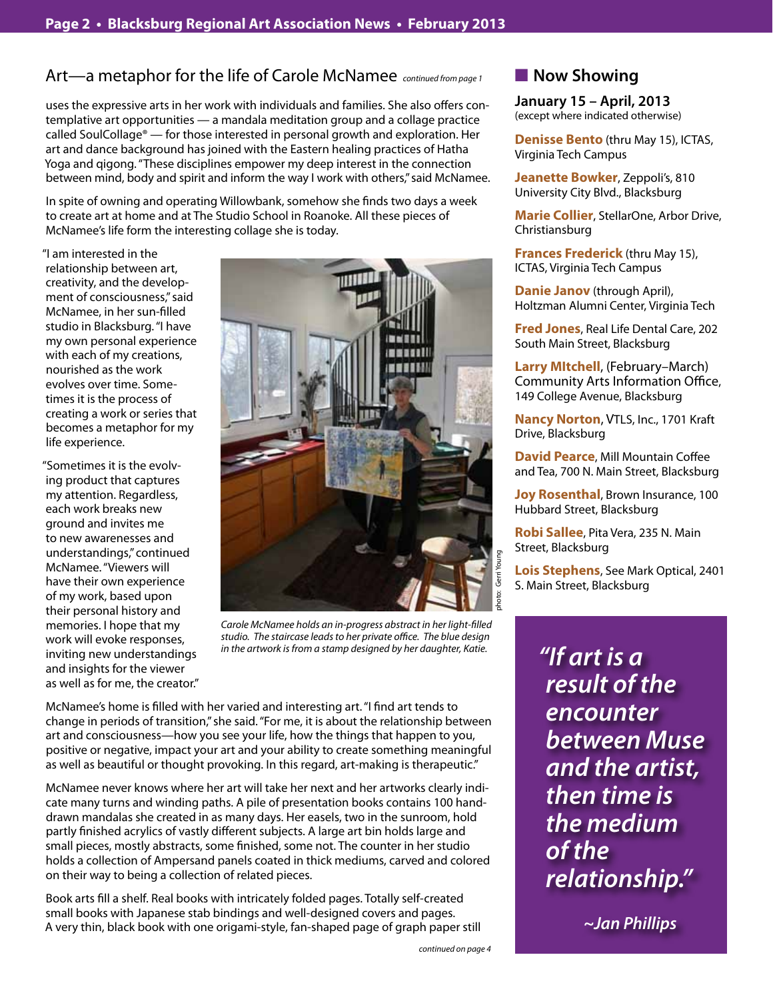# Art—a metaphor for the life of Carole McNamee *continued from page 1*

uses the expressive arts in her work with individuals and families. She also offers contemplative art opportunities — a mandala meditation group and a collage practice called SoulCollage® — for those interested in personal growth and exploration. Her art and dance background has joined with the Eastern healing practices of Hatha Yoga and qigong. "These disciplines empower my deep interest in the connection between mind, body and spirit and inform the way I work with others," said McNamee.

In spite of owning and operating Willowbank, somehow she finds two days a week to create art at home and at The Studio School in Roanoke. All these pieces of McNamee's life form the interesting collage she is today.

"I am interested in the relationship between art, creativity, and the development of consciousness," said McNamee, in her sun-filled studio in Blacksburg. "I have my own personal experience with each of my creations, nourished as the work evolves over time. Sometimes it is the process of creating a work or series that becomes a metaphor for my life experience.

"Sometimes it is the evolving product that captures my attention. Regardless, each work breaks new ground and invites me to new awarenesses and understandings," continued McNamee. "Viewers will have their own experience of my work, based upon their personal history and memories. I hope that my work will evoke responses, inviting new understandings and insights for the viewer as well as for me, the creator."



*Carole McNamee holds an in-progress abstract in her light-filled studio. The staircase leads to her private office. The blue design in the artwork is from a stamp designed by her daughter, Katie.* 

McNamee's home is filled with her varied and interesting art. "I find art tends to change in periods of transition," she said. "For me, it is about the relationship between art and consciousness—how you see your life, how the things that happen to you, positive or negative, impact your art and your ability to create something meaningful as well as beautiful or thought provoking. In this regard, art-making is therapeutic."

McNamee never knows where her art will take her next and her artworks clearly indicate many turns and winding paths. A pile of presentation books contains 100 handdrawn mandalas she created in as many days. Her easels, two in the sunroom, hold partly finished acrylics of vastly different subjects. A large art bin holds large and small pieces, mostly abstracts, some finished, some not. The counter in her studio holds a collection of Ampersand panels coated in thick mediums, carved and colored on their way to being a collection of related pieces.

Book arts fill a shelf. Real books with intricately folded pages. Totally self-created small books with Japanese stab bindings and well-designed covers and pages. A very thin, black book with one origami-style, fan-shaped page of graph paper still **January 15 – April, 2013** (except where indicated otherwise)

**Denisse Bento** (thru May 15), ICTAS, Virginia Tech Campus

**Jeanette Bowker**, Zeppoli's, 810 University City Blvd., Blacksburg

**Marie Collier**, StellarOne, Arbor Drive, Christiansburg

**Frances Frederick** (thru May 15), ICTAS, Virginia Tech Campus

**Danie Janov** (through April), Holtzman Alumni Center, Virginia Tech

**Fred Jones**, Real Life Dental Care, 202 South Main Street, Blacksburg

**Larry MItchell**, (February–March) Community Arts Information Office, 149 College Avenue, Blacksburg

**Nancy Norton**, VTLS, Inc., 1701 Kraft Drive, Blacksburg

**David Pearce**, Mill Mountain Coffee and Tea, 700 N. Main Street, Blacksburg

**Joy Rosenthal, Brown Insurance, 100** Hubbard Street, Blacksburg

**Robi Sallee**, Pita Vera, 235 N. Main Street, Blacksburg

**Lois Stephens**, See Mark Optical, 2401 S. Main Street, Blacksburg

> *"If art is a result of the encounter between Muse and the artist, then time is the medium of the relationship."*

> > *~Jan Phillips*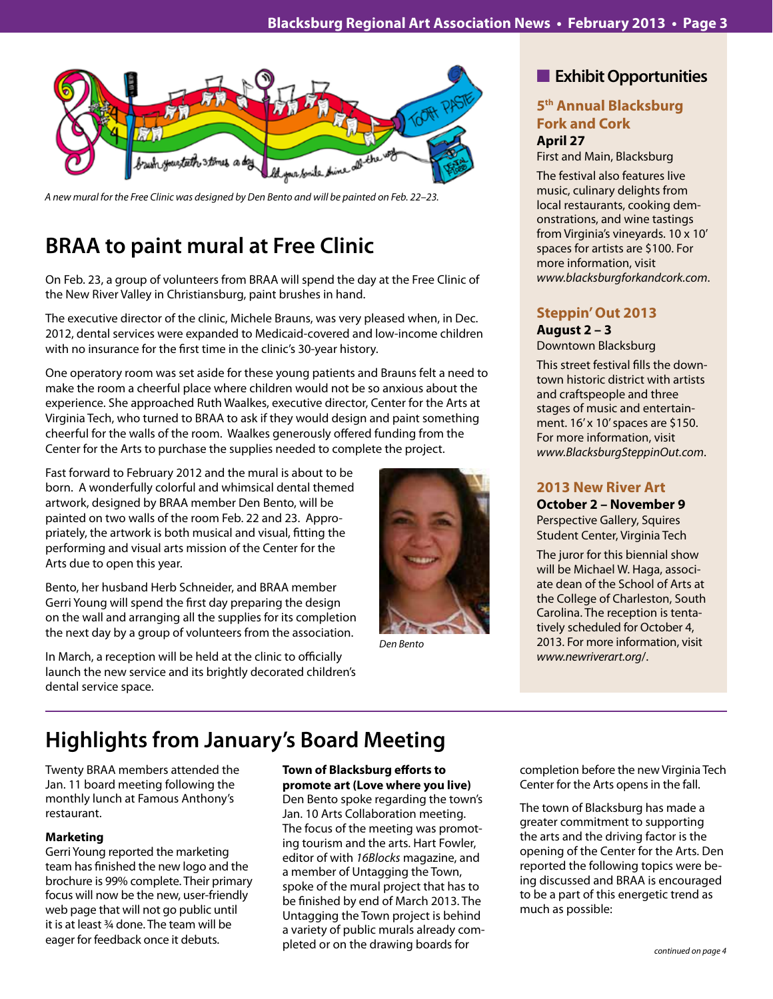

*A new mural for the Free Clinic was designed by Den Bento and will be painted on Feb. 22–23.*

# **BRAA to paint mural at Free Clinic**

On Feb. 23, a group of volunteers from BRAA will spend the day at the Free Clinic of the New River Valley in Christiansburg, paint brushes in hand.

The executive director of the clinic, Michele Brauns, was very pleased when, in Dec. 2012, dental services were expanded to Medicaid-covered and low-income children with no insurance for the first time in the clinic's 30-year history.

One operatory room was set aside for these young patients and Brauns felt a need to make the room a cheerful place where children would not be so anxious about the experience. She approached Ruth Waalkes, executive director, Center for the Arts at Virginia Tech, who turned to BRAA to ask if they would design and paint something cheerful for the walls of the room. Waalkes generously offered funding from the Center for the Arts to purchase the supplies needed to complete the project.

Fast forward to February 2012 and the mural is about to be born. A wonderfully colorful and whimsical dental themed artwork, designed by BRAA member Den Bento, will be painted on two walls of the room Feb. 22 and 23. Appropriately, the artwork is both musical and visual, fitting the performing and visual arts mission of the Center for the Arts due to open this year.

Bento, her husband Herb Schneider, and BRAA member Gerri Young will spend the first day preparing the design on the wall and arranging all the supplies for its completion the next day by a group of volunteers from the association.

In March, a reception will be held at the clinic to officially launch the new service and its brightly decorated children's dental service space.



*Den Bento* 

# **n** Exhibit Opportunities

### **5th Annual Blacksburg Fork and Cork April 27**

First and Main, Blacksburg

The festival also features live music, culinary delights from local restaurants, cooking demonstrations, and wine tastings from Virginia's vineyards. 10 x 10' spaces for artists are \$100. For more information, visit *www.blacksburgforkandcork.com*.

### **Steppin' Out 2013 August 2 – 3** Downtown Blacksburg

This street festival fills the downtown historic district with artists and craftspeople and three stages of music and entertainment. 16' x 10' spaces are \$150. For more information, visit *www.BlacksburgSteppinOut.com*.

# **2013 New River Art**

**October 2 – November 9** Perspective Gallery, Squires Student Center, Virginia Tech

The juror for this biennial show will be Michael W. Haga, associate dean of the School of Arts at the College of Charleston, South Carolina. The reception is tentatively scheduled for October 4, 2013. For more information, visit *www.newriverart.org*/.

# **Highlights from January's Board Meeting**

Twenty BRAA members attended the Jan. 11 board meeting following the monthly lunch at Famous Anthony's restaurant.

### **Marketing**

Gerri Young reported the marketing team has finished the new logo and the brochure is 99% complete. Their primary focus will now be the new, user-friendly web page that will not go public until it is at least ¾ done. The team will be eager for feedback once it debuts.

### **Town of Blacksburg efforts to promote art (Love where you live)**

Den Bento spoke regarding the town's Jan. 10 Arts Collaboration meeting. The focus of the meeting was promoting tourism and the arts. Hart Fowler, editor of with *16Blocks* magazine, and a member of Untagging the Town, spoke of the mural project that has to be finished by end of March 2013. The Untagging the Town project is behind a variety of public murals already completed or on the drawing boards for

completion before the new Virginia Tech Center for the Arts opens in the fall.

The town of Blacksburg has made a greater commitment to supporting the arts and the driving factor is the opening of the Center for the Arts. Den reported the following topics were being discussed and BRAA is encouraged to be a part of this energetic trend as much as possible: